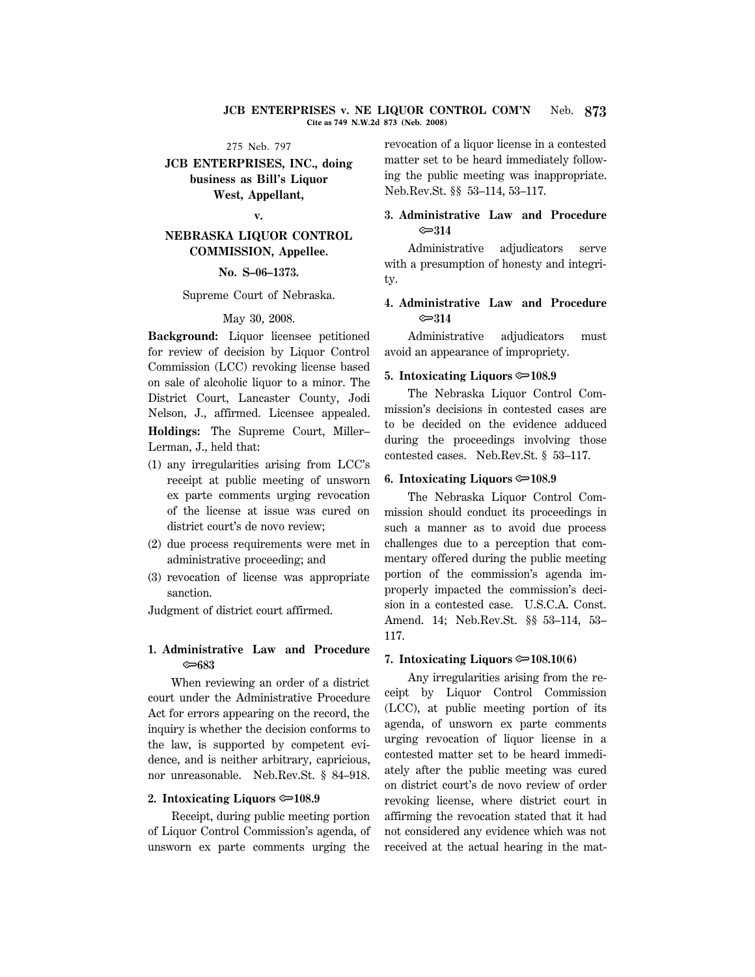#### **JCB ENTERPRISES v. NE LIQUOR CONTROL COM'N** Neb. **873 Cite as 749 N.W.2d 873 (Neb. 2008)**

#### 275 Neb. 797

# **JCB ENTERPRISES, INC., doing business as Bill's Liquor West, Appellant,**

#### **v.**

# **NEBRASKA LIQUOR CONTROL COMMISSION, Appellee.**

## **No. S–06–1373.**

#### Supreme Court of Nebraska.

#### May 30, 2008.

**Background:** Liquor licensee petitioned for review of decision by Liquor Control Commission (LCC) revoking license based on sale of alcoholic liquor to a minor. The District Court, Lancaster County, Jodi Nelson, J., affirmed. Licensee appealed. **Holdings:** The Supreme Court, Miller– Lerman, J., held that:

- (1) any irregularities arising from LCC's receipt at public meeting of unsworn ex parte comments urging revocation of the license at issue was cured on district court's de novo review:
- (2) due process requirements were met in administrative proceeding; and
- (3) revocation of license was appropriate sanction.

Judgment of district court affirmed.

# **1. Administrative Law and Procedure** O**683**

When reviewing an order of a district court under the Administrative Procedure Act for errors appearing on the record, the inquiry is whether the decision conforms to the law, is supported by competent evidence, and is neither arbitrary, capricious, nor unreasonable. Neb.Rev.St. § 84–918.

### **2. Intoxicating Liquors**  $\approx 108.9$

Receipt, during public meeting portion of Liquor Control Commission's agenda, of unsworn ex parte comments urging the

revocation of a liquor license in a contested matter set to be heard immediately following the public meeting was inappropriate. Neb.Rev.St. §§ 53–114, 53–117.

# **3. Administrative Law and Procedure** O**314**

Administrative adjudicators serve with a presumption of honesty and integrity.

# **4. Administrative Law and Procedure** O**314**

Administrative adjudicators must avoid an appearance of impropriety.

### **5. Intoxicating Liquors**  $\approx 108.9$

The Nebraska Liquor Control Commission's decisions in contested cases are to be decided on the evidence adduced during the proceedings involving those contested cases. Neb.Rev.St. § 53–117.

### **6. Intoxicating Liquors**  $\approx 108.9$

The Nebraska Liquor Control Commission should conduct its proceedings in such a manner as to avoid due process challenges due to a perception that commentary offered during the public meeting portion of the commission's agenda improperly impacted the commission's decision in a contested case. U.S.C.A. Const. Amend. 14; Neb.Rev.St. §§ 53–114, 53– 117.

# **7. Intoxicating Liquors**  $\approx 108.10(6)$

Any irregularities arising from the receipt by Liquor Control Commission (LCC), at public meeting portion of its agenda, of unsworn ex parte comments urging revocation of liquor license in a contested matter set to be heard immediately after the public meeting was cured on district court's de novo review of order revoking license, where district court in affirming the revocation stated that it had not considered any evidence which was not received at the actual hearing in the mat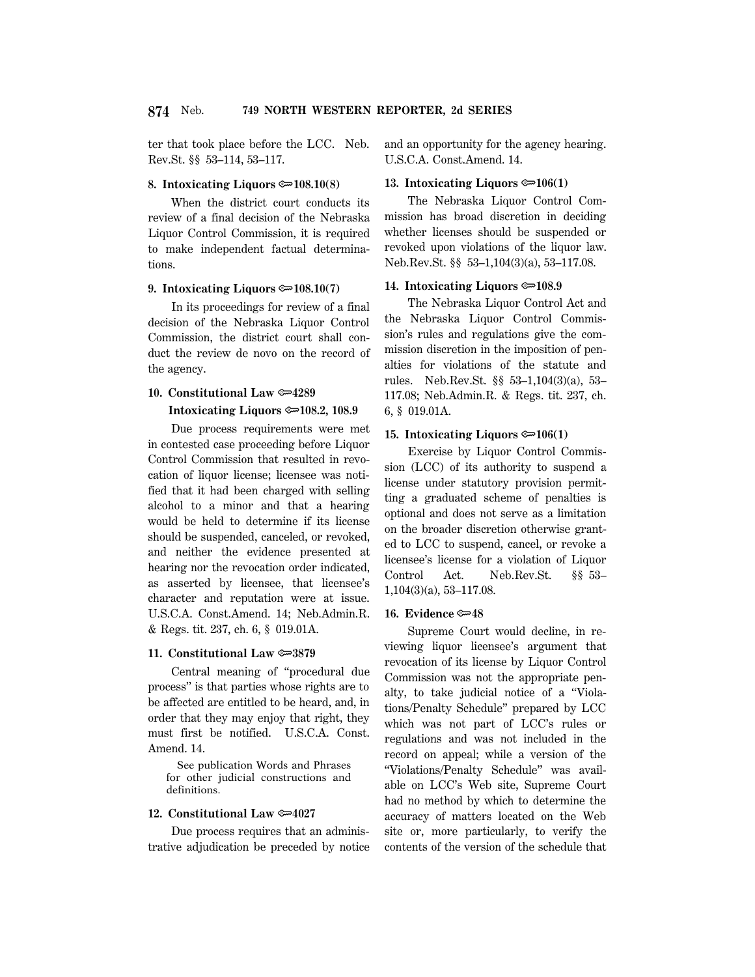ter that took place before the LCC. Neb. Rev.St. §§ 53–114, 53–117.

### **8. Intoxicating Liquors**  $\approx 108.10(8)$

When the district court conducts its review of a final decision of the Nebraska Liquor Control Commission, it is required to make independent factual determinations.

#### **9. Intoxicating Liquors**  $\approx 108.10(7)$

In its proceedings for review of a final decision of the Nebraska Liquor Control Commission, the district court shall conduct the review de novo on the record of the agency.

### 10. Constitutional Law  $\approx 4289$

## **Intoxicating Liquors**  $\approx 108.2$ **, 108.9**

Due process requirements were met in contested case proceeding before Liquor Control Commission that resulted in revocation of liquor license; licensee was notified that it had been charged with selling alcohol to a minor and that a hearing would be held to determine if its license should be suspended, canceled, or revoked, and neither the evidence presented at hearing nor the revocation order indicated, as asserted by licensee, that licensee's character and reputation were at issue. U.S.C.A. Const.Amend. 14; Neb.Admin.R. & Regs. tit. 237, ch. 6, § 019.01A.

#### **11. Constitutional Law**  $\approx 3879$

Central meaning of ''procedural due process'' is that parties whose rights are to be affected are entitled to be heard, and, in order that they may enjoy that right, they must first be notified. U.S.C.A. Const. Amend. 14.

 See publication Words and Phrases for other judicial constructions and definitions.

### **12. Constitutional Law**  $\approx 4027$

Due process requires that an administrative adjudication be preceded by notice and an opportunity for the agency hearing. U.S.C.A. Const.Amend. 14.

### 13. Intoxicating Liquors  $\mathfrak{S}106(1)$

The Nebraska Liquor Control Commission has broad discretion in deciding whether licenses should be suspended or revoked upon violations of the liquor law. Neb.Rev.St. §§ 53–1,104(3)(a), 53–117.08.

# **14. Intoxicating Liquors**  $\approx 108.9$

The Nebraska Liquor Control Act and the Nebraska Liquor Control Commission's rules and regulations give the commission discretion in the imposition of penalties for violations of the statute and rules. Neb.Rev.St. §§ 53–1,104(3)(a), 53– 117.08; Neb.Admin.R. & Regs. tit. 237, ch. 6, § 019.01A.

# **15. Intoxicating Liquors**  $\mathcal{D}(1)$

Exercise by Liquor Control Commission (LCC) of its authority to suspend a license under statutory provision permitting a graduated scheme of penalties is optional and does not serve as a limitation on the broader discretion otherwise granted to LCC to suspend, cancel, or revoke a licensee's license for a violation of Liquor Control Act. Neb.Rev.St. §§ 53– 1,104(3)(a), 53–117.08.

#### **16. Evidence**  $\approx 48$

Supreme Court would decline, in reviewing liquor licensee's argument that revocation of its license by Liquor Control Commission was not the appropriate penalty, to take judicial notice of a ''Violations/Penalty Schedule'' prepared by LCC which was not part of LCC's rules or regulations and was not included in the record on appeal; while a version of the ''Violations/Penalty Schedule'' was available on LCC's Web site, Supreme Court had no method by which to determine the accuracy of matters located on the Web site or, more particularly, to verify the contents of the version of the schedule that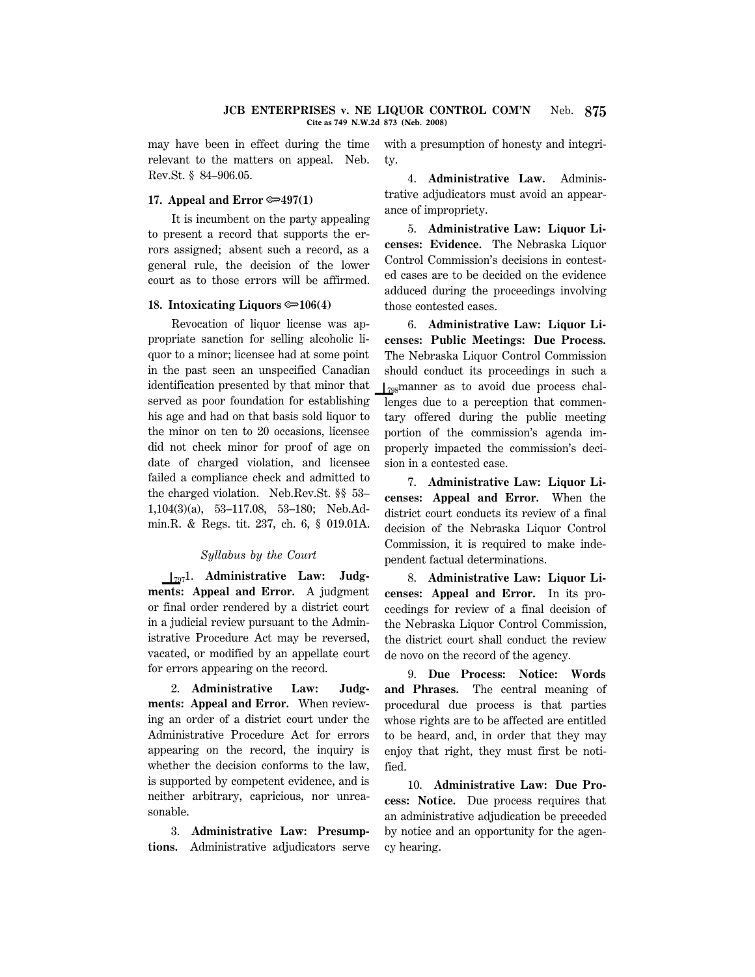may have been in effect during the time relevant to the matters on appeal. Neb. Rev.St. § 84–906.05.

### **17. Appeal and Error**  $\mathcal{F}$ **497(1)**

It is incumbent on the party appealing to present a record that supports the errors assigned; absent such a record, as a general rule, the decision of the lower court as to those errors will be affirmed.

# **18. Intoxicating Liquors**  $\mathcal{D}(4)$

Revocation of liquor license was appropriate sanction for selling alcoholic liquor to a minor; licensee had at some point in the past seen an unspecified Canadian identification presented by that minor that served as poor foundation for establishing his age and had on that basis sold liquor to the minor on ten to 20 occasions, licensee did not check minor for proof of age on date of charged violation, and licensee failed a compliance check and admitted to the charged violation. Neb.Rev.St. §§ 53– 1,104(3)(a), 53–117.08, 53–180; Neb.Admin.R. & Regs. tit. 237, ch. 6, § 019.01A.

# *Syllabus by the Court*

S7971. **Administrative Law: Judgments: Appeal and Error.** A judgment or final order rendered by a district court in a judicial review pursuant to the Administrative Procedure Act may be reversed, vacated, or modified by an appellate court for errors appearing on the record.

2. **Administrative Law: Judgments: Appeal and Error.** When reviewing an order of a district court under the Administrative Procedure Act for errors appearing on the record, the inquiry is whether the decision conforms to the law, is supported by competent evidence, and is neither arbitrary, capricious, nor unreasonable.

3. **Administrative Law: Presumptions.** Administrative adjudicators serve with a presumption of honesty and integrity.

4. **Administrative Law.** Administrative adjudicators must avoid an appearance of impropriety.

5. **Administrative Law: Liquor Licenses: Evidence.** The Nebraska Liquor Control Commission's decisions in contested cases are to be decided on the evidence adduced during the proceedings involving those contested cases.

6. **Administrative Law: Liquor Licenses: Public Meetings: Due Process.** The Nebraska Liquor Control Commission should conduct its proceedings in such a  $\frac{1}{798}$ manner as to avoid due process challenges due to a perception that commentary offered during the public meeting portion of the commission's agenda improperly impacted the commission's decision in a contested case.

7. **Administrative Law: Liquor Licenses: Appeal and Error.** When the district court conducts its review of a final decision of the Nebraska Liquor Control Commission, it is required to make independent factual determinations.

8. **Administrative Law: Liquor Licenses: Appeal and Error.** In its proceedings for review of a final decision of the Nebraska Liquor Control Commission, the district court shall conduct the review de novo on the record of the agency.

9. **Due Process: Notice: Words and Phrases.** The central meaning of procedural due process is that parties whose rights are to be affected are entitled to be heard, and, in order that they may enjoy that right, they must first be notified.

10. **Administrative Law: Due Process: Notice.** Due process requires that an administrative adjudication be preceded by notice and an opportunity for the agency hearing.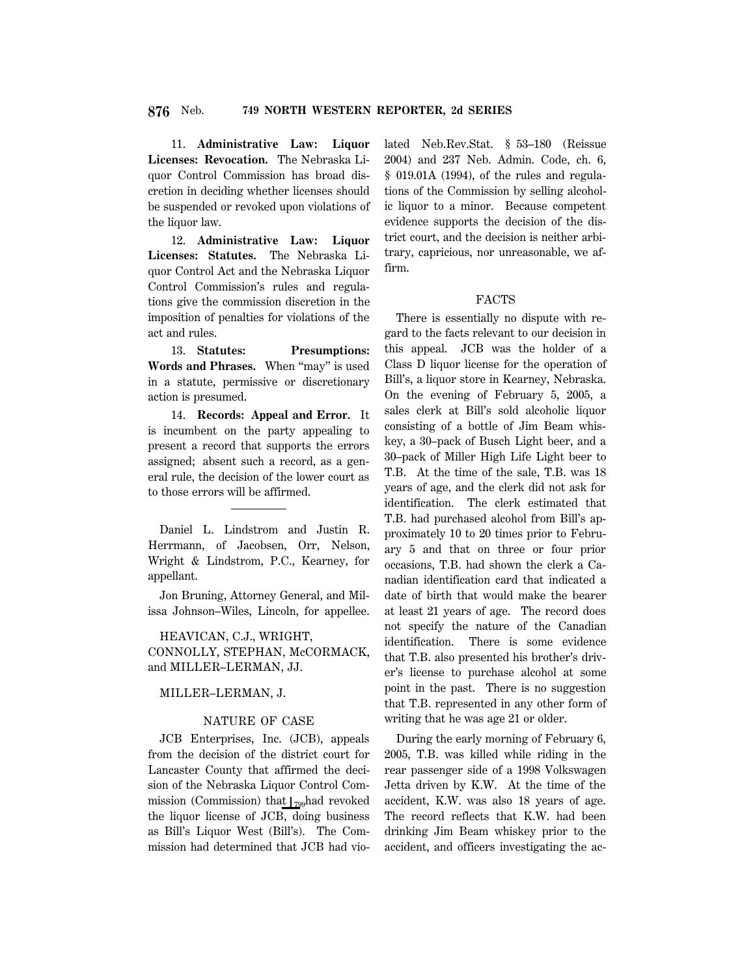11. **Administrative Law: Liquor Licenses: Revocation.** The Nebraska Liquor Control Commission has broad discretion in deciding whether licenses should be suspended or revoked upon violations of the liquor law.

12. **Administrative Law: Liquor Licenses: Statutes.** The Nebraska Liquor Control Act and the Nebraska Liquor Control Commission's rules and regulations give the commission discretion in the imposition of penalties for violations of the act and rules.

13. **Statutes: Presumptions: Words and Phrases.** When ''may'' is used in a statute, permissive or discretionary action is presumed.

14. **Records: Appeal and Error.** It is incumbent on the party appealing to present a record that supports the errors assigned; absent such a record, as a general rule, the decision of the lower court as to those errors will be affirmed.

Daniel L. Lindstrom and Justin R. Herrmann, of Jacobsen, Orr, Nelson, Wright & Lindstrom, P.C., Kearney, for appellant.

Jon Bruning, Attorney General, and Milissa Johnson–Wiles, Lincoln, for appellee.

HEAVICAN, C.J., WRIGHT, CONNOLLY, STEPHAN, McCORMACK, and MILLER–LERMAN, JJ.

### MILLER–LERMAN, J.

# NATURE OF CASE

JCB Enterprises, Inc. (JCB), appeals from the decision of the district court for Lancaster County that affirmed the decision of the Nebraska Liquor Control Commission (Commission) that  $\frac{1}{799}$ had revoked the liquor license of JCB, doing business as Bill's Liquor West (Bill's). The Commission had determined that JCB had vio-

lated Neb.Rev.Stat. § 53–180 (Reissue 2004) and 237 Neb. Admin. Code, ch. 6, § 019.01A (1994), of the rules and regulations of the Commission by selling alcoholic liquor to a minor. Because competent evidence supports the decision of the district court, and the decision is neither arbitrary, capricious, nor unreasonable, we affirm.

#### FACTS

There is essentially no dispute with regard to the facts relevant to our decision in this appeal. JCB was the holder of a Class D liquor license for the operation of Bill's, a liquor store in Kearney, Nebraska. On the evening of February 5, 2005, a sales clerk at Bill's sold alcoholic liquor consisting of a bottle of Jim Beam whiskey, a 30–pack of Busch Light beer, and a 30–pack of Miller High Life Light beer to T.B. At the time of the sale, T.B. was 18 years of age, and the clerk did not ask for identification. The clerk estimated that T.B. had purchased alcohol from Bill's approximately 10 to 20 times prior to February 5 and that on three or four prior occasions, T.B. had shown the clerk a Canadian identification card that indicated a date of birth that would make the bearer at least 21 years of age. The record does not specify the nature of the Canadian identification. There is some evidence that T.B. also presented his brother's driver's license to purchase alcohol at some point in the past. There is no suggestion that T.B. represented in any other form of writing that he was age 21 or older.

During the early morning of February 6, 2005, T.B. was killed while riding in the rear passenger side of a 1998 Volkswagen Jetta driven by K.W. At the time of the accident, K.W. was also 18 years of age. The record reflects that K.W. had been drinking Jim Beam whiskey prior to the accident, and officers investigating the ac-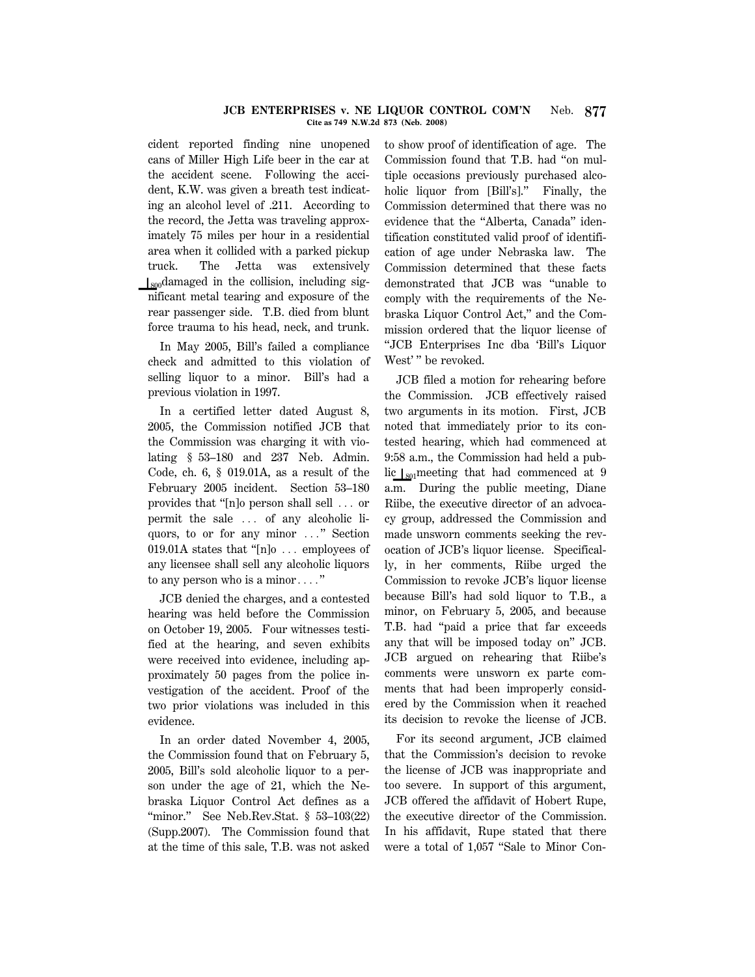#### **JCB ENTERPRISES v. NE LIQUOR CONTROL COM'N** Neb. **877 Cite as 749 N.W.2d 873 (Neb. 2008)**

cident reported finding nine unopened cans of Miller High Life beer in the car at the accident scene. Following the accident, K.W. was given a breath test indicating an alcohol level of .211. According to the record, the Jetta was traveling approximately 75 miles per hour in a residential area when it collided with a parked pickup truck. The Jetta was extensively  $\log_{100}$ damaged in the collision, including significant metal tearing and exposure of the rear passenger side. T.B. died from blunt force trauma to his head, neck, and trunk.

In May 2005, Bill's failed a compliance check and admitted to this violation of selling liquor to a minor. Bill's had a previous violation in 1997.

In a certified letter dated August 8, 2005, the Commission notified JCB that the Commission was charging it with violating § 53–180 and 237 Neb. Admin. Code, ch. 6, § 019.01A, as a result of the February 2005 incident. Section 53–180 provides that " $[n]$ o person shall sell  $\ldots$  or permit the sale  $\ldots$  of any alcoholic liquors, to or for any minor ..." Section 019.01A states that "[n]o  $\ldots$  employees of any licensee shall sell any alcoholic liquors to any person who is a minor $\ldots$ .

JCB denied the charges, and a contested hearing was held before the Commission on October 19, 2005. Four witnesses testified at the hearing, and seven exhibits were received into evidence, including approximately 50 pages from the police investigation of the accident. Proof of the two prior violations was included in this evidence.

In an order dated November 4, 2005, the Commission found that on February 5, 2005, Bill's sold alcoholic liquor to a person under the age of 21, which the Nebraska Liquor Control Act defines as a "minor." See Neb.Rev.Stat. § 53-103(22) (Supp.2007). The Commission found that at the time of this sale, T.B. was not asked to show proof of identification of age. The Commission found that T.B. had ''on multiple occasions previously purchased alcoholic liquor from [Bill's]." Finally, the Commission determined that there was no evidence that the ''Alberta, Canada'' identification constituted valid proof of identification of age under Nebraska law. The Commission determined that these facts demonstrated that JCB was ''unable to comply with the requirements of the Nebraska Liquor Control Act,'' and the Commission ordered that the liquor license of ''JCB Enterprises Inc dba 'Bill's Liquor West'" be revoked.

JCB filed a motion for rehearing before the Commission. JCB effectively raised two arguments in its motion. First, JCB noted that immediately prior to its contested hearing, which had commenced at 9:58 a.m., the Commission had held a public  $\log$  1<sub>801</sub> meeting that had commenced at 9 a.m. During the public meeting, Diane Riibe, the executive director of an advocacy group, addressed the Commission and made unsworn comments seeking the revocation of JCB's liquor license. Specifically, in her comments, Riibe urged the Commission to revoke JCB's liquor license because Bill's had sold liquor to T.B., a minor, on February 5, 2005, and because T.B. had ''paid a price that far exceeds any that will be imposed today on'' JCB. JCB argued on rehearing that Riibe's comments were unsworn ex parte comments that had been improperly considered by the Commission when it reached its decision to revoke the license of JCB.

For its second argument, JCB claimed that the Commission's decision to revoke the license of JCB was inappropriate and too severe. In support of this argument, JCB offered the affidavit of Hobert Rupe, the executive director of the Commission. In his affidavit, Rupe stated that there were a total of 1,057 "Sale to Minor Con-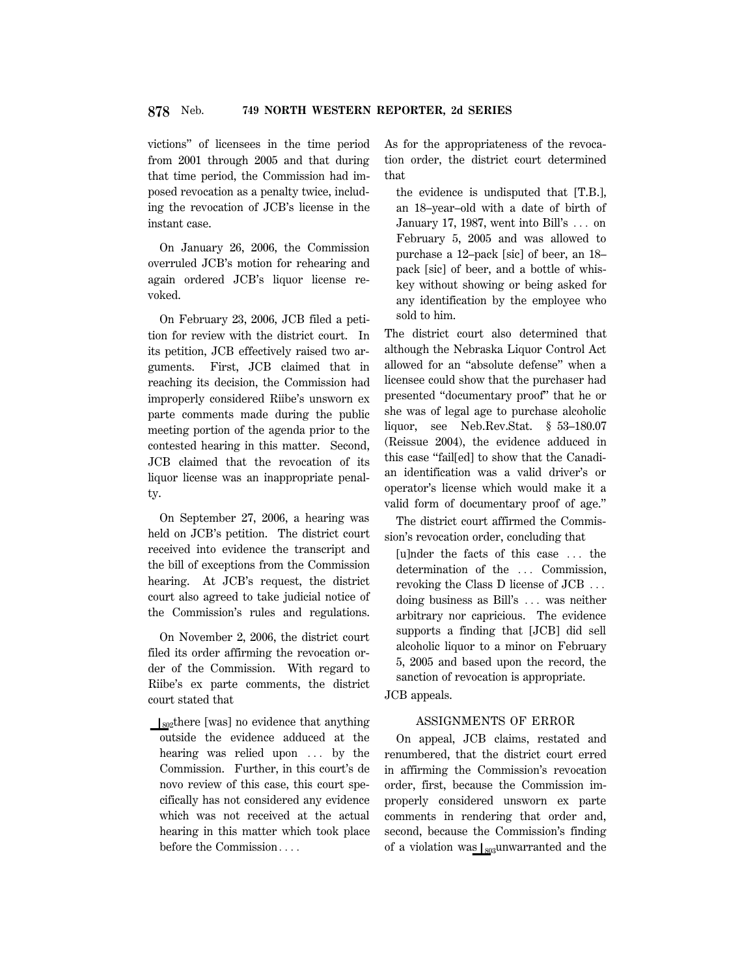victions'' of licensees in the time period from 2001 through 2005 and that during that time period, the Commission had imposed revocation as a penalty twice, including the revocation of JCB's license in the instant case.

On January 26, 2006, the Commission overruled JCB's motion for rehearing and again ordered JCB's liquor license revoked.

On February 23, 2006, JCB filed a petition for review with the district court. In its petition, JCB effectively raised two arguments. First, JCB claimed that in reaching its decision, the Commission had improperly considered Riibe's unsworn ex parte comments made during the public meeting portion of the agenda prior to the contested hearing in this matter. Second, JCB claimed that the revocation of its liquor license was an inappropriate penalty.

On September 27, 2006, a hearing was held on JCB's petition. The district court received into evidence the transcript and the bill of exceptions from the Commission hearing. At JCB's request, the district court also agreed to take judicial notice of the Commission's rules and regulations.

On November 2, 2006, the district court filed its order affirming the revocation order of the Commission. With regard to Riibe's ex parte comments, the district court stated that

 $\log$ there [was] no evidence that anything outside the evidence adduced at the hearing was relied upon  $\ldots$  by the Commission. Further, in this court's de novo review of this case, this court specifically has not considered any evidence which was not received at the actual hearing in this matter which took place before the Commission....

As for the appropriateness of the revocation order, the district court determined that

the evidence is undisputed that [T.B.], an 18–year–old with a date of birth of January 17, 1987, went into Bill's  $\ldots$  on February 5, 2005 and was allowed to purchase a 12–pack [sic] of beer, an 18– pack [sic] of beer, and a bottle of whiskey without showing or being asked for any identification by the employee who sold to him.

The district court also determined that although the Nebraska Liquor Control Act allowed for an ''absolute defense'' when a licensee could show that the purchaser had presented ''documentary proof'' that he or she was of legal age to purchase alcoholic liquor, see Neb.Rev.Stat. § 53–180.07 (Reissue 2004), the evidence adduced in this case ''fail[ed] to show that the Canadian identification was a valid driver's or operator's license which would make it a valid form of documentary proof of age.''

The district court affirmed the Commission's revocation order, concluding that

[u]nder the facts of this case  $\ldots$  the determination of the ... Commission, revoking the Class D license of  $JCB$ ... doing business as Bill's ... was neither arbitrary nor capricious. The evidence supports a finding that [JCB] did sell alcoholic liquor to a minor on February 5, 2005 and based upon the record, the sanction of revocation is appropriate.

JCB appeals.

# ASSIGNMENTS OF ERROR

On appeal, JCB claims, restated and renumbered, that the district court erred in affirming the Commission's revocation order, first, because the Commission improperly considered unsworn ex parte comments in rendering that order and, second, because the Commission's finding of a violation was  $\frac{1}{803}$ unwarranted and the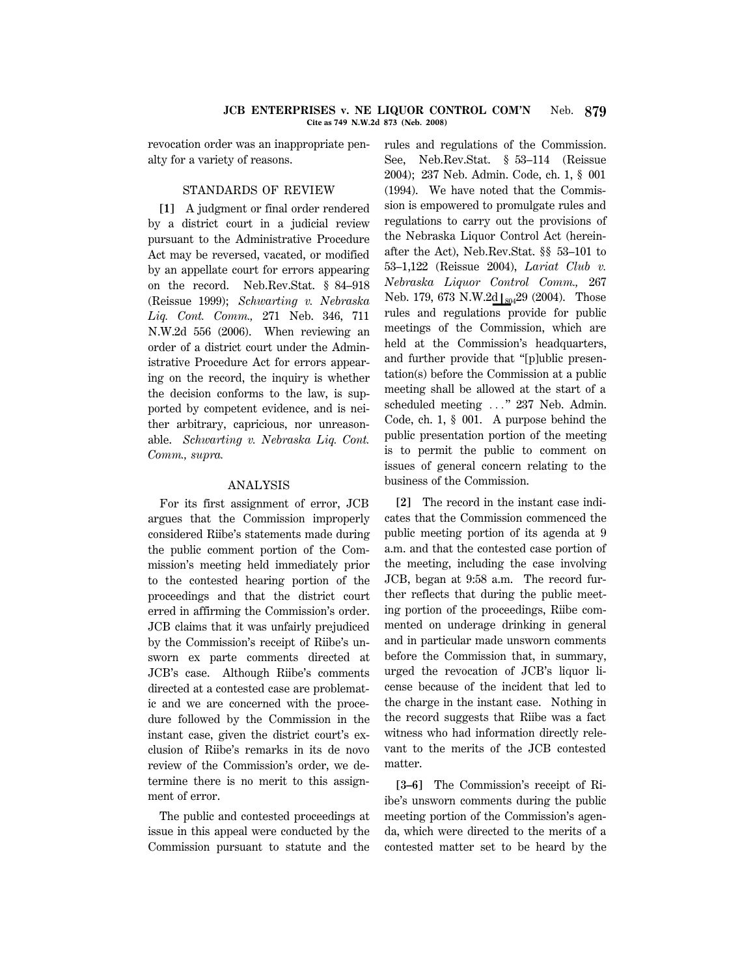#### **JCB ENTERPRISES v. NE LIQUOR CONTROL COM'N** Neb. **879 Cite as 749 N.W.2d 873 (Neb. 2008)**

revocation order was an inappropriate penalty for a variety of reasons.

# STANDARDS OF REVIEW

**[1]** A judgment or final order rendered by a district court in a judicial review pursuant to the Administrative Procedure Act may be reversed, vacated, or modified by an appellate court for errors appearing on the record. Neb.Rev.Stat. § 84–918 (Reissue 1999); *Schwarting v. Nebraska Liq. Cont. Comm.,* 271 Neb. 346, 711 N.W.2d 556 (2006). When reviewing an order of a district court under the Administrative Procedure Act for errors appearing on the record, the inquiry is whether the decision conforms to the law, is supported by competent evidence, and is neither arbitrary, capricious, nor unreasonable. *Schwarting v. Nebraska Liq. Cont. Comm., supra.*

#### ANALYSIS

For its first assignment of error, JCB argues that the Commission improperly considered Riibe's statements made during the public comment portion of the Commission's meeting held immediately prior to the contested hearing portion of the proceedings and that the district court erred in affirming the Commission's order. JCB claims that it was unfairly prejudiced by the Commission's receipt of Riibe's unsworn ex parte comments directed at JCB's case. Although Riibe's comments directed at a contested case are problematic and we are concerned with the procedure followed by the Commission in the instant case, given the district court's exclusion of Riibe's remarks in its de novo review of the Commission's order, we determine there is no merit to this assignment of error.

The public and contested proceedings at issue in this appeal were conducted by the Commission pursuant to statute and the rules and regulations of the Commission. See, Neb.Rev.Stat. § 53–114 (Reissue 2004); 237 Neb. Admin. Code, ch. 1, § 001 (1994). We have noted that the Commission is empowered to promulgate rules and regulations to carry out the provisions of the Nebraska Liquor Control Act (hereinafter the Act), Neb.Rev.Stat. §§ 53–101 to 53–1,122 (Reissue 2004), *Lariat Club v. Nebraska Liquor Control Comm.,* 267 Neb. 179, 673 N.W.2d  $\frac{1}{804}$ 29 (2004). Those rules and regulations provide for public meetings of the Commission, which are held at the Commission's headquarters, and further provide that ''[p]ublic presentation(s) before the Commission at a public meeting shall be allowed at the start of a scheduled meeting ..." 237 Neb. Admin. Code, ch. 1, § 001. A purpose behind the public presentation portion of the meeting is to permit the public to comment on issues of general concern relating to the business of the Commission.

**[2]** The record in the instant case indicates that the Commission commenced the public meeting portion of its agenda at 9 a.m. and that the contested case portion of the meeting, including the case involving JCB, began at 9:58 a.m. The record further reflects that during the public meeting portion of the proceedings, Riibe commented on underage drinking in general and in particular made unsworn comments before the Commission that, in summary, urged the revocation of JCB's liquor license because of the incident that led to the charge in the instant case. Nothing in the record suggests that Riibe was a fact witness who had information directly relevant to the merits of the JCB contested matter.

**[3–6]** The Commission's receipt of Riibe's unsworn comments during the public meeting portion of the Commission's agenda, which were directed to the merits of a contested matter set to be heard by the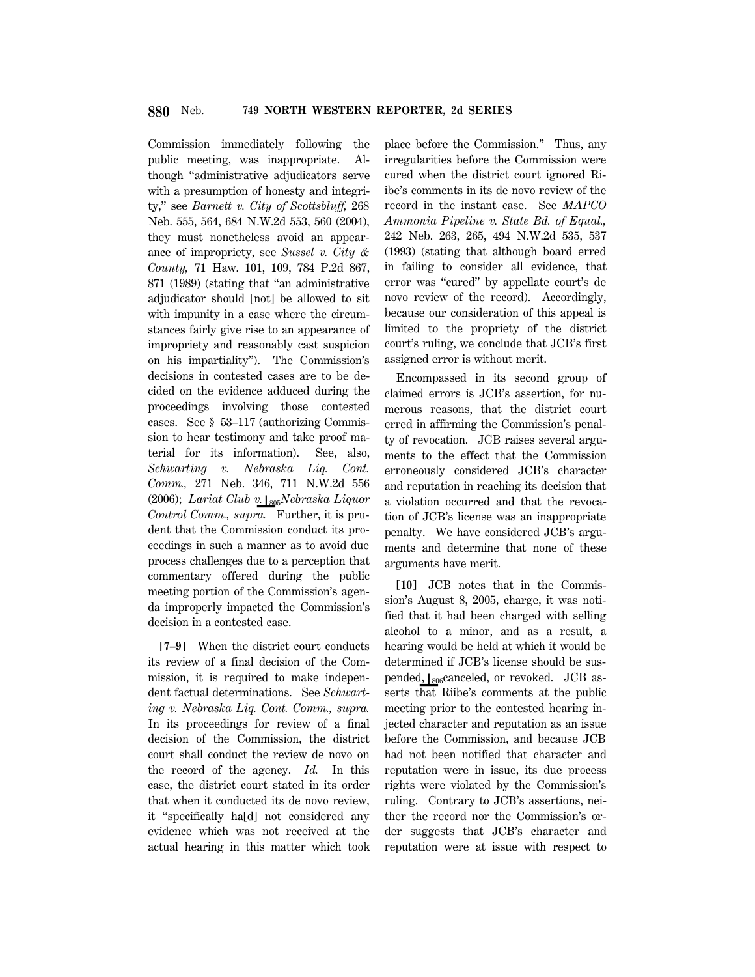Commission immediately following the public meeting, was inappropriate. Although ''administrative adjudicators serve with a presumption of honesty and integrity,'' see *Barnett v. City of Scottsbluff,* 268 Neb. 555, 564, 684 N.W.2d 553, 560 (2004), they must nonetheless avoid an appearance of impropriety, see *Sussel v. City & County,* 71 Haw. 101, 109, 784 P.2d 867, 871 (1989) (stating that ''an administrative adjudicator should [not] be allowed to sit with impunity in a case where the circumstances fairly give rise to an appearance of impropriety and reasonably cast suspicion on his impartiality''). The Commission's decisions in contested cases are to be decided on the evidence adduced during the proceedings involving those contested cases. See § 53–117 (authorizing Commission to hear testimony and take proof material for its information). See, also, *Schwarting v. Nebraska Liq. Cont. Comm.,* 271 Neb. 346, 711 N.W.2d 556 (2006); *Lariat Club v.*  $\frac{1}{805}Nebraska Liquor$ *Control Comm., supra.* Further, it is prudent that the Commission conduct its proceedings in such a manner as to avoid due process challenges due to a perception that commentary offered during the public meeting portion of the Commission's agenda improperly impacted the Commission's decision in a contested case.

**[7–9]** When the district court conducts its review of a final decision of the Commission, it is required to make independent factual determinations. See *Schwarting v. Nebraska Liq. Cont. Comm., supra.* In its proceedings for review of a final decision of the Commission, the district court shall conduct the review de novo on the record of the agency. *Id.* In this case, the district court stated in its order that when it conducted its de novo review, it ''specifically ha[d] not considered any evidence which was not received at the actual hearing in this matter which took place before the Commission.'' Thus, any irregularities before the Commission were cured when the district court ignored Riibe's comments in its de novo review of the record in the instant case. See *MAPCO Ammonia Pipeline v. State Bd. of Equal.,* 242 Neb. 263, 265, 494 N.W.2d 535, 537 (1993) (stating that although board erred in failing to consider all evidence, that error was ''cured'' by appellate court's de novo review of the record). Accordingly, because our consideration of this appeal is limited to the propriety of the district court's ruling, we conclude that JCB's first assigned error is without merit.

Encompassed in its second group of claimed errors is JCB's assertion, for numerous reasons, that the district court erred in affirming the Commission's penalty of revocation. JCB raises several arguments to the effect that the Commission erroneously considered JCB's character and reputation in reaching its decision that a violation occurred and that the revocation of JCB's license was an inappropriate penalty. We have considered JCB's arguments and determine that none of these arguments have merit.

**[10]** JCB notes that in the Commission's August 8, 2005, charge, it was notified that it had been charged with selling alcohol to a minor, and as a result, a hearing would be held at which it would be determined if JCB's license should be suspended,  $|_{806}$ canceled, or revoked. JCB asserts that Riibe's comments at the public meeting prior to the contested hearing injected character and reputation as an issue before the Commission, and because JCB had not been notified that character and reputation were in issue, its due process rights were violated by the Commission's ruling. Contrary to JCB's assertions, neither the record nor the Commission's order suggests that JCB's character and reputation were at issue with respect to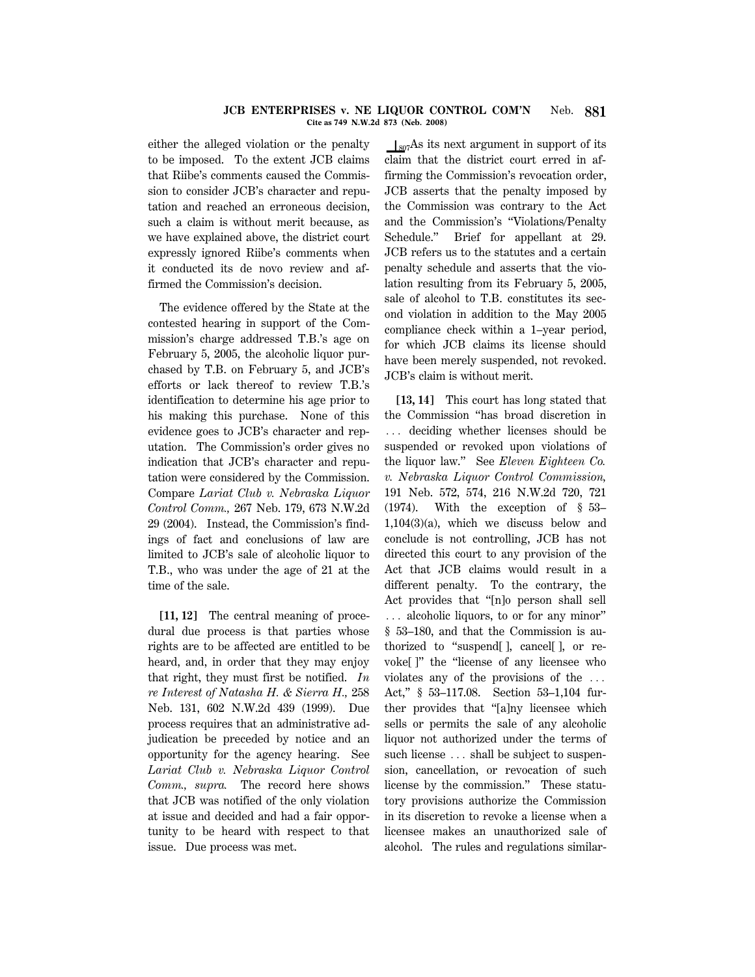#### **JCB ENTERPRISES v. NE LIQUOR CONTROL COM'N** Neb. **881 Cite as 749 N.W.2d 873 (Neb. 2008)**

either the alleged violation or the penalty to be imposed. To the extent JCB claims that Riibe's comments caused the Commission to consider JCB's character and reputation and reached an erroneous decision, such a claim is without merit because, as we have explained above, the district court expressly ignored Riibe's comments when it conducted its de novo review and affirmed the Commission's decision.

The evidence offered by the State at the contested hearing in support of the Commission's charge addressed T.B.'s age on February 5, 2005, the alcoholic liquor purchased by T.B. on February 5, and JCB's efforts or lack thereof to review T.B.'s identification to determine his age prior to his making this purchase. None of this evidence goes to JCB's character and reputation. The Commission's order gives no indication that JCB's character and reputation were considered by the Commission. Compare *Lariat Club v. Nebraska Liquor Control Comm.,* 267 Neb. 179, 673 N.W.2d 29 (2004). Instead, the Commission's findings of fact and conclusions of law are limited to JCB's sale of alcoholic liquor to T.B., who was under the age of 21 at the time of the sale.

**[11, 12]** The central meaning of procedural due process is that parties whose rights are to be affected are entitled to be heard, and, in order that they may enjoy that right, they must first be notified. *In re Interest of Natasha H. & Sierra H.,* 258 Neb. 131, 602 N.W.2d 439 (1999). Due process requires that an administrative adjudication be preceded by notice and an opportunity for the agency hearing. See *Lariat Club v. Nebraska Liquor Control Comm., supra.* The record here shows that JCB was notified of the only violation at issue and decided and had a fair opportunity to be heard with respect to that issue. Due process was met.

 $\log_7$ As its next argument in support of its claim that the district court erred in affirming the Commission's revocation order, JCB asserts that the penalty imposed by the Commission was contrary to the Act and the Commission's ''Violations/Penalty Schedule.'' Brief for appellant at 29. JCB refers us to the statutes and a certain penalty schedule and asserts that the violation resulting from its February 5, 2005, sale of alcohol to T.B. constitutes its second violation in addition to the May 2005 compliance check within a 1–year period, for which JCB claims its license should have been merely suspended, not revoked. JCB's claim is without merit.

**[13, 14]** This court has long stated that the Commission ''has broad discretion in ... deciding whether licenses should be suspended or revoked upon violations of the liquor law.'' See *Eleven Eighteen Co. v. Nebraska Liquor Control Commission,* 191 Neb. 572, 574, 216 N.W.2d 720, 721 (1974). With the exception of § 53– 1,104(3)(a), which we discuss below and conclude is not controlling, JCB has not directed this court to any provision of the Act that JCB claims would result in a different penalty. To the contrary, the Act provides that ''[n]o person shall sell ... alcoholic liquors, to or for any minor" § 53–180, and that the Commission is authorized to ''suspend[ ], cancel[ ], or revoke[ ]'' the ''license of any licensee who violates any of the provisions of the  $\ldots$ Act,'' § 53–117.08. Section 53–1,104 further provides that ''[a]ny licensee which sells or permits the sale of any alcoholic liquor not authorized under the terms of such license  $\ldots$  shall be subject to suspension, cancellation, or revocation of such license by the commission.'' These statutory provisions authorize the Commission in its discretion to revoke a license when a licensee makes an unauthorized sale of alcohol. The rules and regulations similar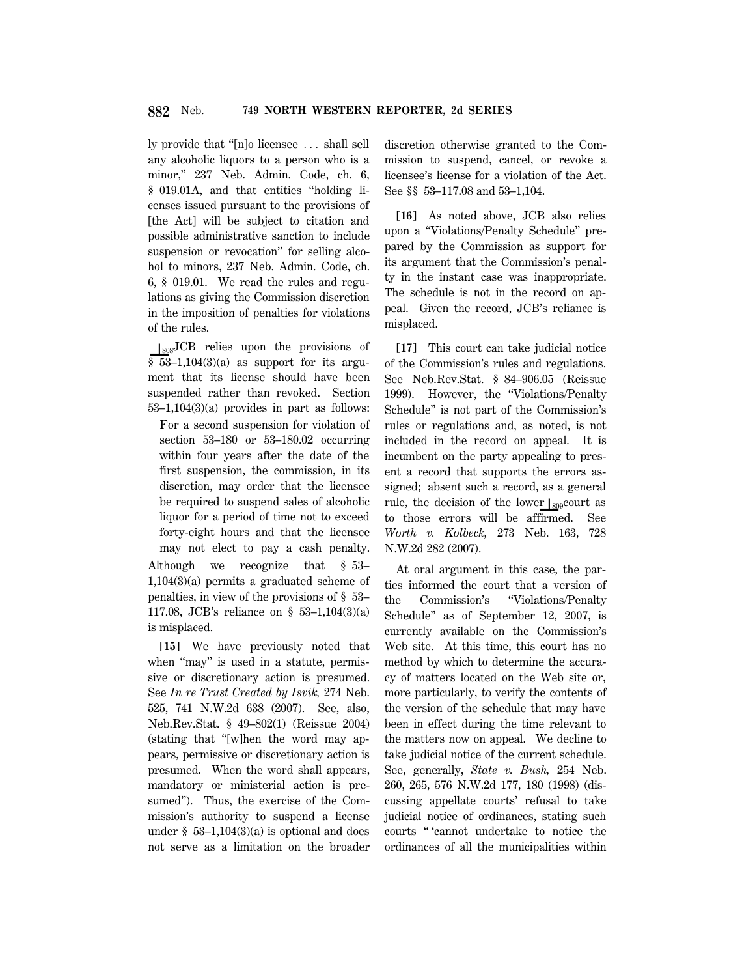ly provide that "[n]o licensee ... shall sell any alcoholic liquors to a person who is a minor,'' 237 Neb. Admin. Code, ch. 6, § 019.01A, and that entities "holding licenses issued pursuant to the provisions of [the Act] will be subject to citation and possible administrative sanction to include suspension or revocation'' for selling alcohol to minors, 237 Neb. Admin. Code, ch. 6, § 019.01. We read the rules and regulations as giving the Commission discretion in the imposition of penalties for violations of the rules.

 $\log$ JCB relies upon the provisions of  $§ 53-1,104(3)(a)$  as support for its argument that its license should have been suspended rather than revoked. Section 53–1,104(3)(a) provides in part as follows:

For a second suspension for violation of section 53–180 or 53–180.02 occurring within four years after the date of the first suspension, the commission, in its discretion, may order that the licensee be required to suspend sales of alcoholic liquor for a period of time not to exceed forty-eight hours and that the licensee may not elect to pay a cash penalty. Although we recognize that § 53– 1,104(3)(a) permits a graduated scheme of penalties, in view of the provisions of § 53– 117.08, JCB's reliance on § 53–1,104(3)(a) is misplaced.

**[15]** We have previously noted that when "may" is used in a statute, permissive or discretionary action is presumed. See *In re Trust Created by Isvik,* 274 Neb. 525, 741 N.W.2d 638 (2007). See, also, Neb.Rev.Stat. § 49–802(1) (Reissue 2004) (stating that ''[w]hen the word may appears, permissive or discretionary action is presumed. When the word shall appears, mandatory or ministerial action is presumed''). Thus, the exercise of the Commission's authority to suspend a license under  $\S$  53–1,104(3)(a) is optional and does not serve as a limitation on the broader discretion otherwise granted to the Commission to suspend, cancel, or revoke a licensee's license for a violation of the Act. See §§ 53–117.08 and 53–1,104.

**[16]** As noted above, JCB also relies upon a ''Violations/Penalty Schedule'' prepared by the Commission as support for its argument that the Commission's penalty in the instant case was inappropriate. The schedule is not in the record on appeal. Given the record, JCB's reliance is misplaced.

**[17]** This court can take judicial notice of the Commission's rules and regulations. See Neb.Rev.Stat. § 84–906.05 (Reissue 1999). However, the ''Violations/Penalty Schedule'' is not part of the Commission's rules or regulations and, as noted, is not included in the record on appeal. It is incumbent on the party appealing to present a record that supports the errors assigned; absent such a record, as a general rule, the decision of the lower  $\vert_{809}$ court as to those errors will be affirmed. See *Worth v. Kolbeck,* 273 Neb. 163, 728 N.W.2d 282 (2007).

At oral argument in this case, the parties informed the court that a version of the Commission's ''Violations/Penalty Schedule'' as of September 12, 2007, is currently available on the Commission's Web site. At this time, this court has no method by which to determine the accuracy of matters located on the Web site or, more particularly, to verify the contents of the version of the schedule that may have been in effect during the time relevant to the matters now on appeal. We decline to take judicial notice of the current schedule. See, generally, *State v. Bush,* 254 Neb. 260, 265, 576 N.W.2d 177, 180 (1998) (discussing appellate courts' refusal to take judicial notice of ordinances, stating such courts '' 'cannot undertake to notice the ordinances of all the municipalities within